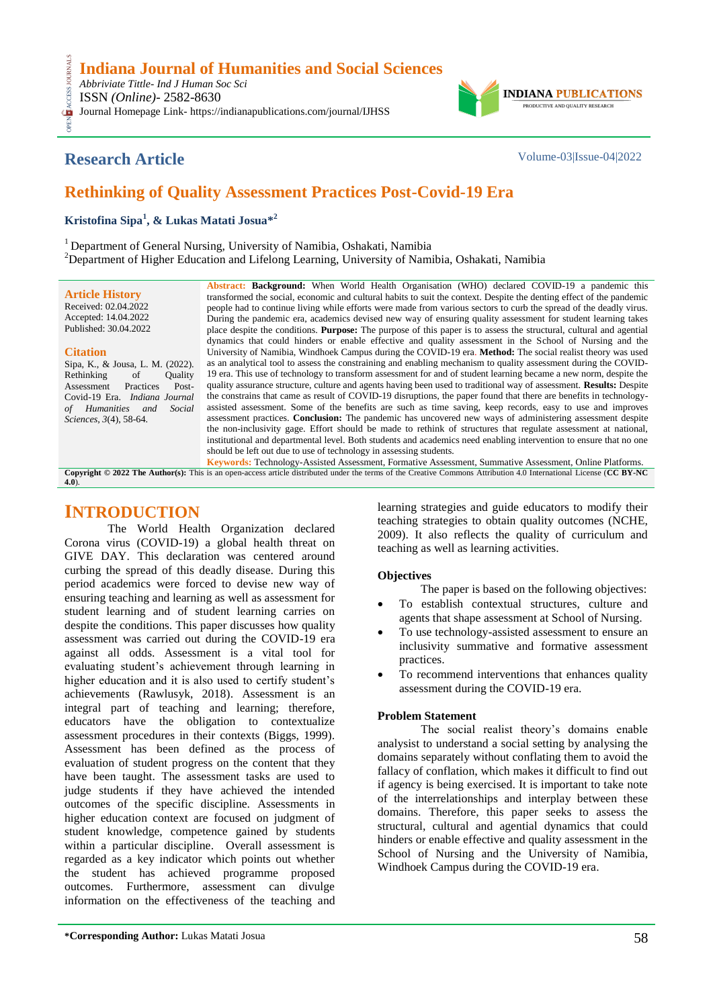**Indiana Journal of Humanities and Social Sciences**

OPEN ACCESS JOURNALS *Abbriviate Tittle- Ind J Human Soc Sci* CESS.

ISSN *(Online)*- 2582-8630

Journal Homepage Link- https://indianapublications.com/journal/IJHSS



# **Research Article** Volume-03|Issue-04|2022

# **Rethinking of Quality Assessment Practices Post-Covid-19 Era**

**Kristofina Sipa<sup>1</sup> , & Lukas Matati Josua\* 2**

<sup>1</sup> Department of General Nursing, University of Namibia, Oshakati, Namibia

<sup>2</sup>Department of Higher Education and Lifelong Learning, University of Namibia, Oshakati, Namibia

**Article History** Received: 02.04.2022 Accepted: 14.04.2022 Published: 30.04.2022

#### **Citation**

Sipa, K., & Jousa, L. M. (2022).<br>Rethinking of Ouality Rethinking of Quality<br>Assessment Practices Post-Assessment Covid-19 Era. *Indiana Journal of Humanities and Social Sciences, 3*(4), 58-64.

**Abstract: Background:** When World Health Organisation (WHO) declared COVID-19 a pandemic this transformed the social, economic and cultural habits to suit the context. Despite the denting effect of the pandemic people had to continue living while efforts were made from various sectors to curb the spread of the deadly virus. During the pandemic era, academics devised new way of ensuring quality assessment for student learning takes place despite the conditions. **Purpose:** The purpose of this paper is to assess the structural, cultural and agential dynamics that could hinders or enable effective and quality assessment in the School of Nursing and the University of Namibia, Windhoek Campus during the COVID-19 era. **Method:** The social realist theory was used as an analytical tool to assess the constraining and enabling mechanism to quality assessment during the COVID-19 era. This use of technology to transform assessment for and of student learning became a new norm, despite the quality assurance structure, culture and agents having been used to traditional way of assessment. **Results:** Despite the constrains that came as result of COVID-19 disruptions, the paper found that there are benefits in technologyassisted assessment. Some of the benefits are such as time saving, keep records, easy to use and improves assessment practices. **Conclusion:** The pandemic has uncovered new ways of administering assessment despite the non-inclusivity gage. Effort should be made to rethink of structures that regulate assessment at national, institutional and departmental level. Both students and academics need enabling intervention to ensure that no one should be left out due to use of technology in assessing students*.*

**Keywords:** Technology-Assisted Assessment, Formative Assessment, Summative Assessment, Online Platforms. **Copyright © 2022 The Author(s):** This is an open-access article distributed under the terms of the Creative Commons Attribution 4.0 International License (**[CC BY-NC](https://creativecommons.org/licenses/by-nc/4.0/)  [4.0](https://creativecommons.org/licenses/by-nc/4.0/)**).

# **INTRODUCTION**

The World Health Organization declared Corona virus (COVID-19) a global health threat on GIVE DAY. This declaration was centered around curbing the spread of this deadly disease. During this period academics were forced to devise new way of ensuring teaching and learning as well as assessment for student learning and of student learning carries on despite the conditions. This paper discusses how quality assessment was carried out during the COVID-19 era against all odds. Assessment is a vital tool for evaluating student's achievement through learning in higher education and it is also used to certify student's achievements (Rawlusyk, 2018). Assessment is an integral part of teaching and learning; therefore, educators have the obligation to contextualize assessment procedures in their contexts (Biggs, 1999). Assessment has been defined as the process of evaluation of student progress on the content that they have been taught. The assessment tasks are used to judge students if they have achieved the intended outcomes of the specific discipline. Assessments in higher education context are focused on judgment of student knowledge, competence gained by students within a particular discipline. Overall assessment is regarded as a key indicator which points out whether the student has achieved programme proposed outcomes. Furthermore, assessment can divulge information on the effectiveness of the teaching and

learning strategies and guide educators to modify their teaching strategies to obtain quality outcomes (NCHE, 2009). It also reflects the quality of curriculum and teaching as well as learning activities.

## **Objectives**

The paper is based on the following objectives:

- To establish contextual structures, culture and agents that shape assessment at School of Nursing.
- To use technology-assisted assessment to ensure an inclusivity summative and formative assessment practices.
- To recommend interventions that enhances quality assessment during the COVID-19 era.

## **Problem Statement**

The social realist theory's domains enable analysist to understand a social setting by analysing the domains separately without conflating them to avoid the fallacy of conflation, which makes it difficult to find out if agency is being exercised. It is important to take note of the interrelationships and interplay between these domains. Therefore, this paper seeks to assess the structural, cultural and agential dynamics that could hinders or enable effective and quality assessment in the School of Nursing and the University of Namibia, Windhoek Campus during the COVID-19 era.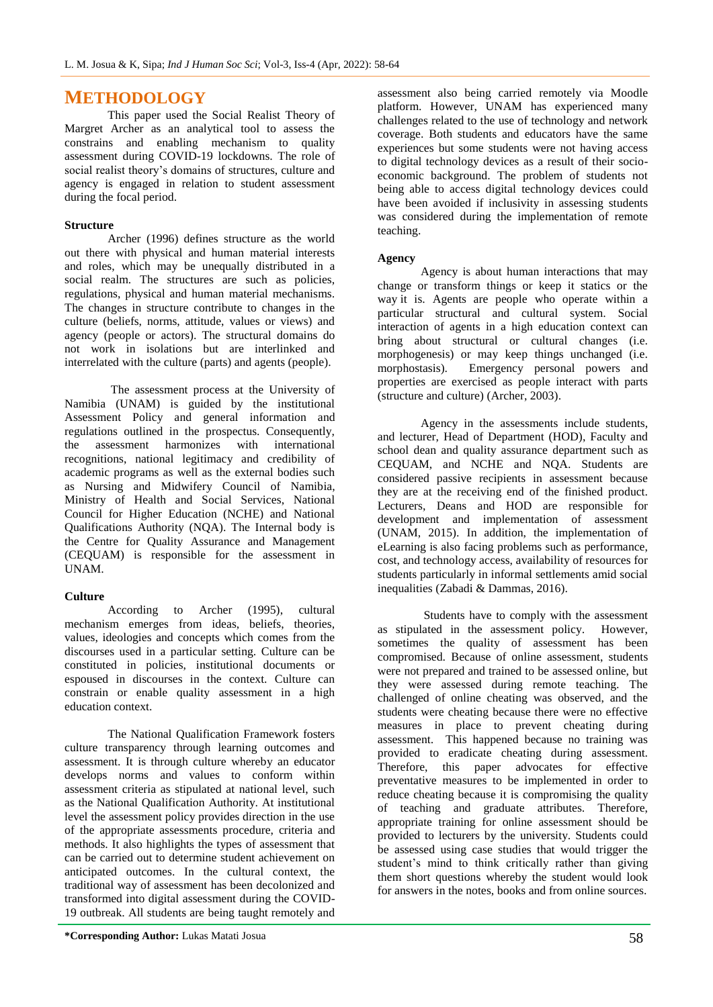## **METHODOLOGY**

This paper used the Social Realist Theory of Margret Archer as an analytical tool to assess the constrains and enabling mechanism to quality assessment during COVID-19 lockdowns. The role of social realist theory's domains of structures, culture and agency is engaged in relation to student assessment during the focal period.

## **Structure**

Archer (1996) defines structure as the world out there with physical and human material interests and roles, which may be unequally distributed in a social realm. The structures are such as policies, regulations, physical and human material mechanisms. The changes in structure contribute to changes in the culture (beliefs, norms, attitude, values or views) and agency (people or actors). The structural domains do not work in isolations but are interlinked and interrelated with the culture (parts) and agents (people).

The assessment process at the University of Namibia (UNAM) is guided by the institutional Assessment Policy and general information and regulations outlined in the prospectus. Consequently,<br>the assessment harmonizes with international the assessment harmonizes with recognitions, national legitimacy and credibility of academic programs as well as the external bodies such as Nursing and Midwifery Council of Namibia, Ministry of Health and Social Services, National Council for Higher Education (NCHE) and National Qualifications Authority (NQA). The Internal body is the Centre for Quality Assurance and Management (CEQUAM) is responsible for the assessment in UNAM.

## **Culture**

According to Archer (1995), cultural mechanism emerges from ideas, beliefs, theories, values, ideologies and concepts which comes from the discourses used in a particular setting. Culture can be constituted in policies, institutional documents or espoused in discourses in the context. Culture can constrain or enable quality assessment in a high education context.

The National Qualification Framework fosters culture transparency through learning outcomes and assessment. It is through culture whereby an educator develops norms and values to conform within assessment criteria as stipulated at national level, such as the National Qualification Authority. At institutional level the assessment policy provides direction in the use of the appropriate assessments procedure, criteria and methods. It also highlights the types of assessment that can be carried out to determine student achievement on anticipated outcomes. In the cultural context, the traditional way of assessment has been decolonized and transformed into digital assessment during the COVID-19 outbreak. All students are being taught remotely and

assessment also being carried remotely via Moodle platform. However, UNAM has experienced many challenges related to the use of technology and network coverage. Both students and educators have the same experiences but some students were not having access to digital technology devices as a result of their socioeconomic background. The problem of students not being able to access digital technology devices could have been avoided if inclusivity in assessing students was considered during the implementation of remote teaching.

## **Agency**

Agency is about human interactions that may change or transform things or keep it statics or the way it is. Agents are people who operate within a particular structural and cultural system. Social interaction of agents in a high education context can bring about structural or cultural changes (i.e. morphogenesis) or may keep things unchanged (i.e. morphostasis). Emergency personal powers and properties are exercised as people interact with parts (structure and culture) (Archer, 2003).

Agency in the assessments include students, and lecturer, Head of Department (HOD), Faculty and school dean and quality assurance department such as CEQUAM, and NCHE and NQA. Students are considered passive recipients in assessment because they are at the receiving end of the finished product. Lecturers, Deans and HOD are responsible for development and implementation of assessment (UNAM, 2015). In addition, the implementation of eLearning is also facing problems such as performance, cost, and technology access, availability of resources for students particularly in informal settlements amid social inequalities (Zabadi & Dammas, 2016).

Students have to comply with the assessment as stipulated in the assessment policy. However, sometimes the quality of assessment has been compromised. Because of online assessment, students were not prepared and trained to be assessed online, but they were assessed during remote teaching. The challenged of online cheating was observed, and the students were cheating because there were no effective measures in place to prevent cheating during assessment. This happened because no training was provided to eradicate cheating during assessment. Therefore, this paper advocates for effective preventative measures to be implemented in order to reduce cheating because it is compromising the quality of teaching and graduate attributes. Therefore, appropriate training for online assessment should be provided to lecturers by the university. Students could be assessed using case studies that would trigger the student's mind to think critically rather than giving them short questions whereby the student would look for answers in the notes, books and from online sources.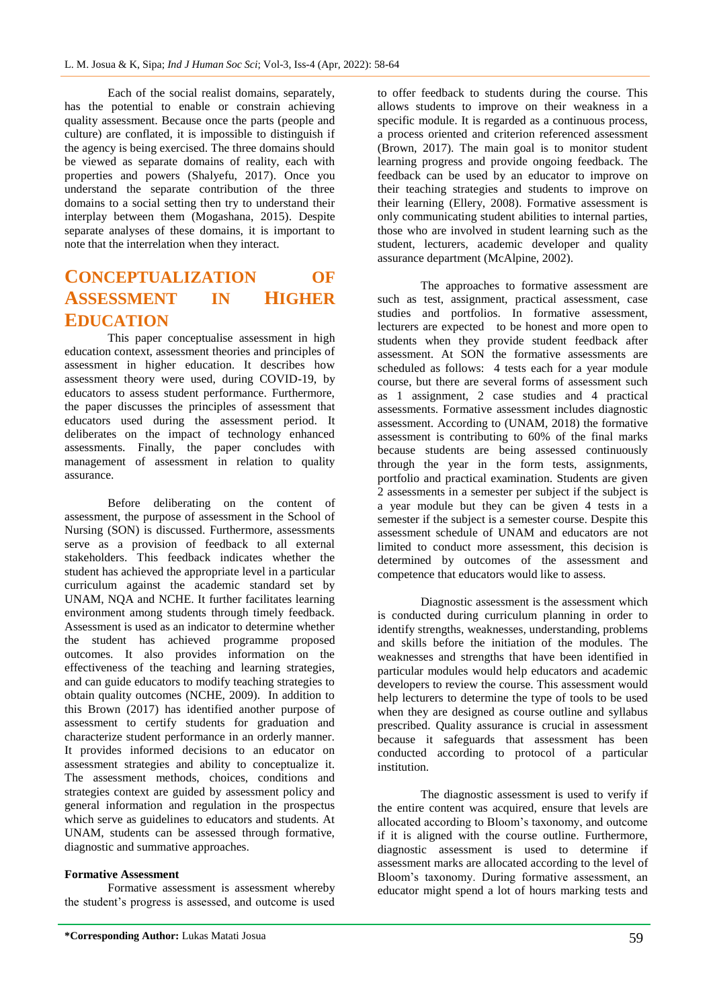Each of the social realist domains, separately, has the potential to enable or constrain achieving quality assessment. Because once the parts (people and culture) are conflated, it is impossible to distinguish if the agency is being exercised. The three domains should be viewed as separate domains of reality, each with properties and powers (Shalyefu, 2017). Once you understand the separate contribution of the three domains to a social setting then try to understand their interplay between them (Mogashana, 2015). Despite separate analyses of these domains, it is important to note that the interrelation when they interact.

# **CONCEPTUALIZATION OF ASSESSMENT IN HIGHER EDUCATION**

This paper conceptualise assessment in high education context, assessment theories and principles of assessment in higher education. It describes how assessment theory were used, during COVID-19, by educators to assess student performance. Furthermore, the paper discusses the principles of assessment that educators used during the assessment period. It deliberates on the impact of technology enhanced assessments. Finally, the paper concludes with management of assessment in relation to quality assurance.

Before deliberating on the content of assessment, the purpose of assessment in the School of Nursing (SON) is discussed. Furthermore, assessments serve as a provision of feedback to all external stakeholders. This feedback indicates whether the student has achieved the appropriate level in a particular curriculum against the academic standard set by UNAM, NQA and NCHE. It further facilitates learning environment among students through timely feedback. Assessment is used as an indicator to determine whether the student has achieved programme proposed outcomes. It also provides information on the effectiveness of the teaching and learning strategies, and can guide educators to modify teaching strategies to obtain quality outcomes (NCHE, 2009). In addition to this Brown (2017) has identified another purpose of assessment to certify students for graduation and characterize student performance in an orderly manner. It provides informed decisions to an educator on assessment strategies and ability to conceptualize it. The assessment methods, choices, conditions and strategies context are guided by assessment policy and general information and regulation in the prospectus which serve as guidelines to educators and students. At UNAM, students can be assessed through formative, diagnostic and summative approaches.

#### **Formative Assessment**

Formative assessment is assessment whereby the student's progress is assessed, and outcome is used to offer feedback to students during the course. This allows students to improve on their weakness in a specific module. It is regarded as a continuous process, a process oriented and criterion referenced assessment (Brown, 2017). The main goal is to monitor student learning progress and provide ongoing feedback. The feedback can be used by an educator to improve on their teaching strategies and students to improve on their learning (Ellery, 2008). Formative assessment is only communicating student abilities to internal parties, those who are involved in student learning such as the student, lecturers, academic developer and quality assurance department (McAlpine, 2002).

The approaches to formative assessment are such as test, assignment, practical assessment, case studies and portfolios. In formative assessment, lecturers are expected to be honest and more open to students when they provide student feedback after assessment. At SON the formative assessments are scheduled as follows: 4 tests each for a year module course, but there are several forms of assessment such as 1 assignment, 2 case studies and 4 practical assessments. Formative assessment includes diagnostic assessment. According to (UNAM, 2018) the formative assessment is contributing to 60% of the final marks because students are being assessed continuously through the year in the form tests, assignments, portfolio and practical examination. Students are given 2 assessments in a semester per subject if the subject is a year module but they can be given 4 tests in a semester if the subject is a semester course. Despite this assessment schedule of UNAM and educators are not limited to conduct more assessment, this decision is determined by outcomes of the assessment and competence that educators would like to assess.

Diagnostic assessment is the assessment which is conducted during curriculum planning in order to identify strengths, weaknesses, understanding, problems and skills before the initiation of the modules. The weaknesses and strengths that have been identified in particular modules would help educators and academic developers to review the course. This assessment would help lecturers to determine the type of tools to be used when they are designed as course outline and syllabus prescribed. Quality assurance is crucial in assessment because it safeguards that assessment has been conducted according to protocol of a particular institution.

The diagnostic assessment is used to verify if the entire content was acquired, ensure that levels are allocated according to Bloom's taxonomy, and outcome if it is aligned with the course outline. Furthermore, diagnostic assessment is used to determine if assessment marks are allocated according to the level of Bloom's taxonomy. During formative assessment, an educator might spend a lot of hours marking tests and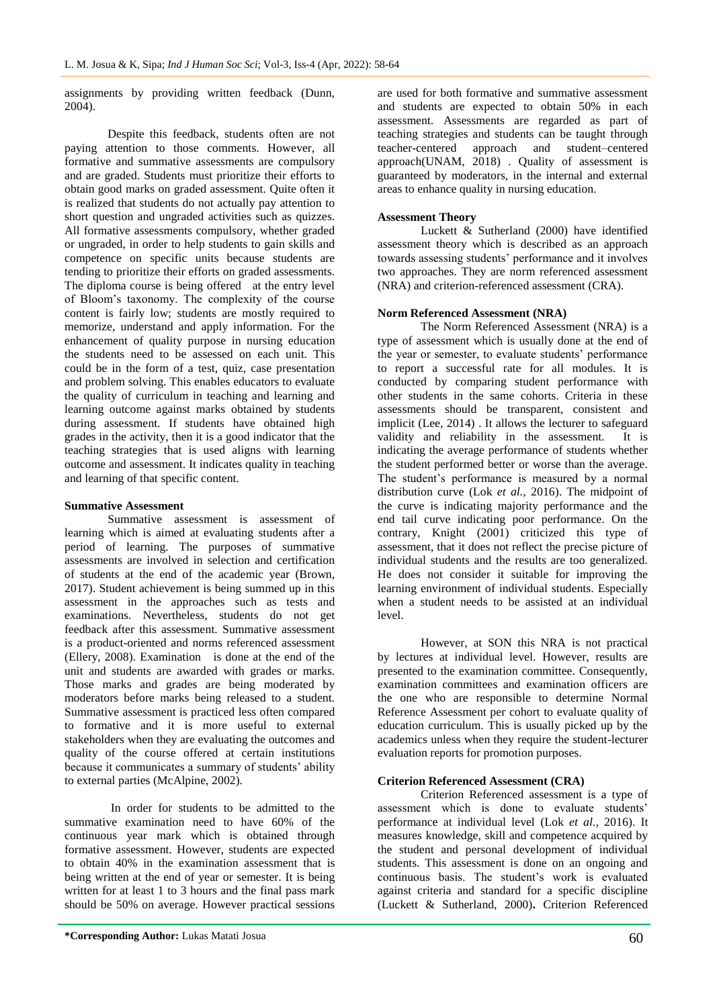assignments by providing written feedback (Dunn, 2004).

Despite this feedback, students often are not paying attention to those comments. However, all formative and summative assessments are compulsory and are graded. Students must prioritize their efforts to obtain good marks on graded assessment. Quite often it is realized that students do not actually pay attention to short question and ungraded activities such as quizzes. All formative assessments compulsory, whether graded or ungraded, in order to help students to gain skills and competence on specific units because students are tending to prioritize their efforts on graded assessments. The diploma course is being offered at the entry level of Bloom's taxonomy. The complexity of the course content is fairly low; students are mostly required to memorize, understand and apply information. For the enhancement of quality purpose in nursing education the students need to be assessed on each unit. This could be in the form of a test, quiz, case presentation and problem solving. This enables educators to evaluate the quality of curriculum in teaching and learning and learning outcome against marks obtained by students during assessment. If students have obtained high grades in the activity, then it is a good indicator that the teaching strategies that is used aligns with learning outcome and assessment. It indicates quality in teaching and learning of that specific content.

#### **Summative Assessment**

Summative assessment is assessment of learning which is aimed at evaluating students after a period of learning. The purposes of summative assessments are involved in selection and certification of students at the end of the academic year (Brown, 2017). Student achievement is being summed up in this assessment in the approaches such as tests and examinations. Nevertheless, students do not get feedback after this assessment. Summative assessment is a product-oriented and norms referenced assessment (Ellery, 2008). Examination is done at the end of the unit and students are awarded with grades or marks. Those marks and grades are being moderated by moderators before marks being released to a student. Summative assessment is practiced less often compared to formative and it is more useful to external stakeholders when they are evaluating the outcomes and quality of the course offered at certain institutions because it communicates a summary of students' ability to external parties (McAlpine, 2002).

In order for students to be admitted to the summative examination need to have 60% of the continuous year mark which is obtained through formative assessment. However, students are expected to obtain 40% in the examination assessment that is being written at the end of year or semester. It is being written for at least 1 to 3 hours and the final pass mark should be 50% on average. However practical sessions

are used for both formative and summative assessment and students are expected to obtain 50% in each assessment. Assessments are regarded as part of teaching strategies and students can be taught through teacher-centered approach and student–centered approach(UNAM, 2018) . Quality of assessment is guaranteed by moderators, in the internal and external areas to enhance quality in nursing education.

#### **Assessment Theory**

Luckett & Sutherland (2000) have identified assessment theory which is described as an approach towards assessing students' performance and it involves two approaches. They are norm referenced assessment (NRA) and criterion-referenced assessment (CRA).

#### **Norm Referenced Assessment (NRA)**

The Norm Referenced Assessment (NRA) is a type of assessment which is usually done at the end of the year or semester, to evaluate students' performance to report a successful rate for all modules. It is conducted by comparing student performance with other students in the same cohorts. Criteria in these assessments should be transparent, consistent and implicit (Lee, 2014) . It allows the lecturer to safeguard validity and reliability in the assessment. It is indicating the average performance of students whether the student performed better or worse than the average. The student's performance is measured by a normal distribution curve (Lok *et al.,* 2016). The midpoint of the curve is indicating majority performance and the end tail curve indicating poor performance. On the contrary, Knight (2001) criticized this type of assessment, that it does not reflect the precise picture of individual students and the results are too generalized. He does not consider it suitable for improving the learning environment of individual students. Especially when a student needs to be assisted at an individual level.

However, at SON this NRA is not practical by lectures at individual level. However, results are presented to the examination committee. Consequently, examination committees and examination officers are the one who are responsible to determine Normal Reference Assessment per cohort to evaluate quality of education curriculum. This is usually picked up by the academics unless when they require the student-lecturer evaluation reports for promotion purposes.

#### **Criterion Referenced Assessment (CRA)**

Criterion Referenced assessment is a type of assessment which is done to evaluate students' performance at individual level (Lok *et al.,* 2016). It measures knowledge, skill and competence acquired by the student and personal development of individual students. This assessment is done on an ongoing and continuous basis. The student's work is evaluated against criteria and standard for a specific discipline (Luckett & Sutherland, 2000)**.** Criterion Referenced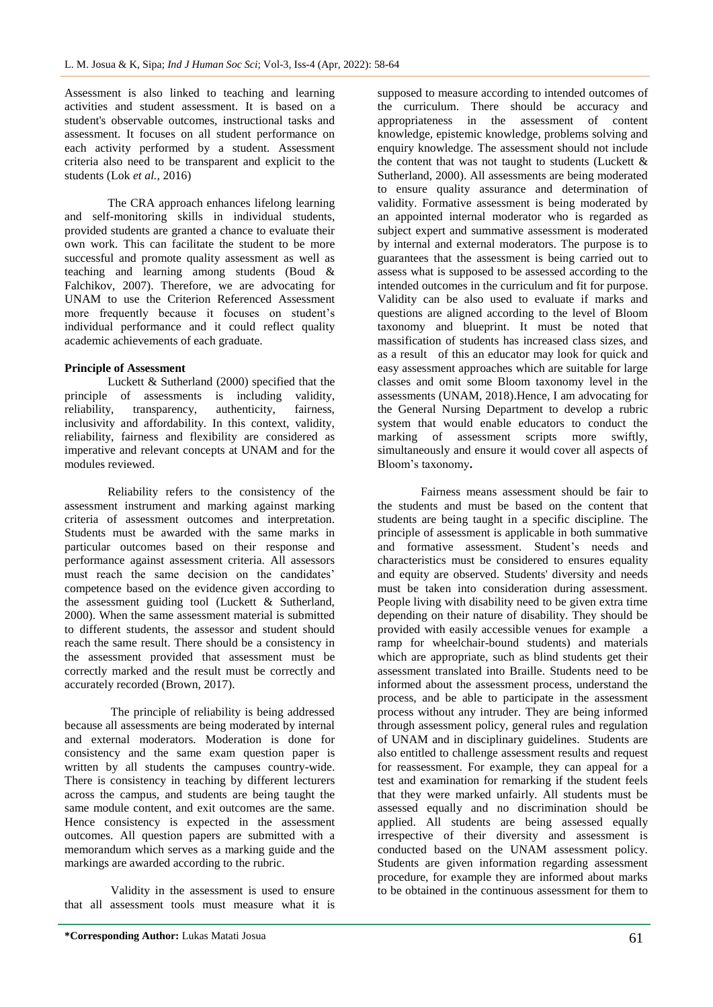Assessment is also linked to teaching and learning activities and student assessment. It is based on a student's observable outcomes, instructional tasks and assessment. It focuses on all student performance on each activity performed by a student. Assessment criteria also need to be transparent and explicit to the students (Lok *et al.,* 2016)

The CRA approach enhances lifelong learning and self-monitoring skills in individual students, provided students are granted a chance to evaluate their own work. This can facilitate the student to be more successful and promote quality assessment as well as teaching and learning among students (Boud & Falchikov, 2007). Therefore, we are advocating for UNAM to use the Criterion Referenced Assessment more frequently because it focuses on student's individual performance and it could reflect quality academic achievements of each graduate.

### **Principle of Assessment**

Luckett & Sutherland (2000) specified that the principle of assessments is including validity, reliability, transparency, authenticity, fairness, inclusivity and affordability. In this context, validity, reliability, fairness and flexibility are considered as imperative and relevant concepts at UNAM and for the modules reviewed.

Reliability refers to the consistency of the assessment instrument and marking against marking criteria of assessment outcomes and interpretation. Students must be awarded with the same marks in particular outcomes based on their response and performance against assessment criteria. All assessors must reach the same decision on the candidates' competence based on the evidence given according to the assessment guiding tool (Luckett & Sutherland, 2000). When the same assessment material is submitted to different students, the assessor and student should reach the same result. There should be a consistency in the assessment provided that assessment must be correctly marked and the result must be correctly and accurately recorded (Brown, 2017).

The principle of reliability is being addressed because all assessments are being moderated by internal and external moderators. Moderation is done for consistency and the same exam question paper is written by all students the campuses country-wide. There is consistency in teaching by different lecturers across the campus, and students are being taught the same module content, and exit outcomes are the same. Hence consistency is expected in the assessment outcomes. All question papers are submitted with a memorandum which serves as a marking guide and the markings are awarded according to the rubric.

Validity in the assessment is used to ensure that all assessment tools must measure what it is

supposed to measure according to intended outcomes of the curriculum. There should be accuracy and appropriateness in the assessment of content knowledge, epistemic knowledge, problems solving and enquiry knowledge. The assessment should not include the content that was not taught to students (Luckett  $\&$ Sutherland, 2000). All assessments are being moderated to ensure quality assurance and determination of validity. Formative assessment is being moderated by an appointed internal moderator who is regarded as subject expert and summative assessment is moderated by internal and external moderators. The purpose is to guarantees that the assessment is being carried out to assess what is supposed to be assessed according to the intended outcomes in the curriculum and fit for purpose. Validity can be also used to evaluate if marks and questions are aligned according to the level of Bloom taxonomy and blueprint. It must be noted that massification of students has increased class sizes, and as a result of this an educator may look for quick and easy assessment approaches which are suitable for large classes and omit some Bloom taxonomy level in the assessments (UNAM, 2018).Hence, I am advocating for the General Nursing Department to develop a rubric system that would enable educators to conduct the marking of assessment scripts more swiftly, simultaneously and ensure it would cover all aspects of Bloom's taxonomy**.**

Fairness means assessment should be fair to the students and must be based on the content that students are being taught in a specific discipline. The principle of assessment is applicable in both summative and formative assessment. Student's needs and characteristics must be considered to ensures equality and equity are observed. Students' diversity and needs must be taken into consideration during assessment. People living with disability need to be given extra time depending on their nature of disability. They should be provided with easily accessible venues for example a ramp for wheelchair-bound students) and materials which are appropriate, such as blind students get their assessment translated into Braille. Students need to be informed about the assessment process, understand the process, and be able to participate in the assessment process without any intruder. They are being informed through assessment policy, general rules and regulation of UNAM and in disciplinary guidelines. Students are also entitled to challenge assessment results and request for reassessment. For example, they can appeal for a test and examination for remarking if the student feels that they were marked unfairly. All students must be assessed equally and no discrimination should be applied. All students are being assessed equally irrespective of their diversity and assessment is conducted based on the UNAM assessment policy. Students are given information regarding assessment procedure, for example they are informed about marks to be obtained in the continuous assessment for them to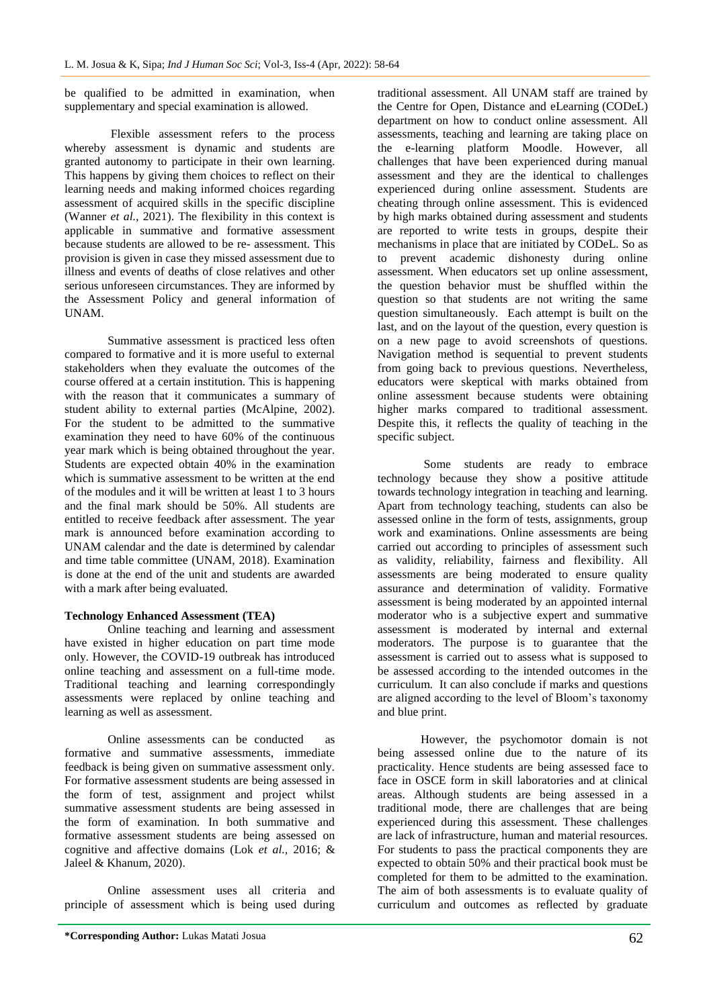be qualified to be admitted in examination, when supplementary and special examination is allowed.

Flexible assessment refers to the process whereby assessment is dynamic and students are granted autonomy to participate in their own learning. This happens by giving them choices to reflect on their learning needs and making informed choices regarding assessment of acquired skills in the specific discipline (Wanner *et al.*, 2021). The flexibility in this context is applicable in summative and formative assessment because students are allowed to be re- assessment. This provision is given in case they missed assessment due to illness and events of deaths of close relatives and other serious unforeseen circumstances. They are informed by the Assessment Policy and general information of UNAM.

Summative assessment is practiced less often compared to formative and it is more useful to external stakeholders when they evaluate the outcomes of the course offered at a certain institution. This is happening with the reason that it communicates a summary of student ability to external parties (McAlpine, 2002). For the student to be admitted to the summative examination they need to have 60% of the continuous year mark which is being obtained throughout the year. Students are expected obtain 40% in the examination which is summative assessment to be written at the end of the modules and it will be written at least 1 to 3 hours and the final mark should be 50%. All students are entitled to receive feedback after assessment. The year mark is announced before examination according to UNAM calendar and the date is determined by calendar and time table committee (UNAM, 2018). Examination is done at the end of the unit and students are awarded with a mark after being evaluated.

#### **Technology Enhanced Assessment (TEA)**

Online teaching and learning and assessment have existed in higher education on part time mode only. However, the COVID-19 outbreak has introduced online teaching and assessment on a full-time mode. Traditional teaching and learning correspondingly assessments were replaced by online teaching and learning as well as assessment.

Online assessments can be conducted as formative and summative assessments, immediate feedback is being given on summative assessment only. For formative assessment students are being assessed in the form of test, assignment and project whilst summative assessment students are being assessed in the form of examination. In both summative and formative assessment students are being assessed on cognitive and affective domains (Lok *et al.,* 2016; & Jaleel & Khanum, 2020).

Online assessment uses all criteria and principle of assessment which is being used during

traditional assessment. All UNAM staff are trained by the Centre for Open, Distance and eLearning (CODeL) department on how to conduct online assessment. All assessments, teaching and learning are taking place on the e-learning platform Moodle. However, all challenges that have been experienced during manual assessment and they are the identical to challenges experienced during online assessment. Students are cheating through online assessment. This is evidenced by high marks obtained during assessment and students are reported to write tests in groups, despite their mechanisms in place that are initiated by CODeL. So as to prevent academic dishonesty during online assessment. When educators set up online assessment, the question behavior must be shuffled within the question so that students are not writing the same question simultaneously. Each attempt is built on the last, and on the layout of the question, every question is on a new page to avoid screenshots of questions. Navigation method is sequential to prevent students from going back to previous questions. Nevertheless, educators were skeptical with marks obtained from online assessment because students were obtaining higher marks compared to traditional assessment. Despite this, it reflects the quality of teaching in the specific subject.

Some students are ready to embrace technology because they show a positive attitude towards technology integration in teaching and learning. Apart from technology teaching, students can also be assessed online in the form of tests, assignments, group work and examinations. Online assessments are being carried out according to principles of assessment such as validity, reliability, fairness and flexibility. All assessments are being moderated to ensure quality assurance and determination of validity. Formative assessment is being moderated by an appointed internal moderator who is a subjective expert and summative assessment is moderated by internal and external moderators. The purpose is to guarantee that the assessment is carried out to assess what is supposed to be assessed according to the intended outcomes in the curriculum. It can also conclude if marks and questions are aligned according to the level of Bloom's taxonomy and blue print.

However, the psychomotor domain is not being assessed online due to the nature of its practicality. Hence students are being assessed face to face in OSCE form in skill laboratories and at clinical areas. Although students are being assessed in a traditional mode, there are challenges that are being experienced during this assessment. These challenges are lack of infrastructure, human and material resources. For students to pass the practical components they are expected to obtain 50% and their practical book must be completed for them to be admitted to the examination. The aim of both assessments is to evaluate quality of curriculum and outcomes as reflected by graduate

**<sup>\*</sup>Corresponding Author:** Lukas Matati Josua 62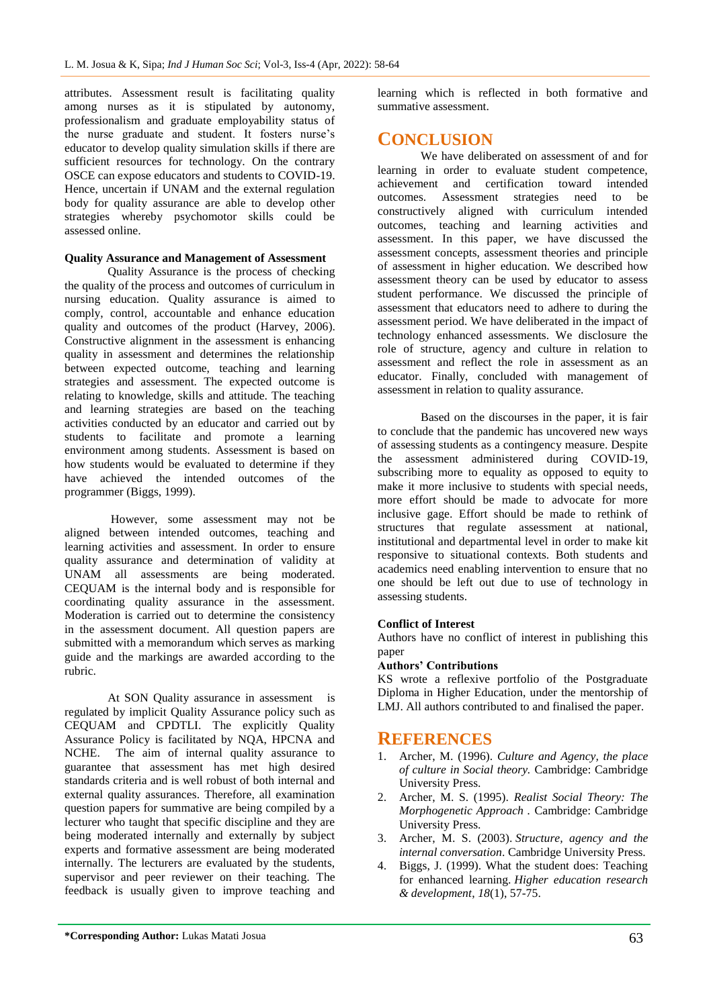attributes. Assessment result is facilitating quality among nurses as it is stipulated by autonomy, professionalism and graduate employability status of the nurse graduate and student. It fosters nurse's educator to develop quality simulation skills if there are sufficient resources for technology. On the contrary OSCE can expose educators and students to COVID-19. Hence, uncertain if UNAM and the external regulation body for quality assurance are able to develop other strategies whereby psychomotor skills could be assessed online.

### **Quality Assurance and Management of Assessment**

Quality Assurance is the process of checking the quality of the process and outcomes of curriculum in nursing education. Quality assurance is aimed to comply, control, accountable and enhance education quality and outcomes of the product (Harvey, 2006). Constructive alignment in the assessment is enhancing quality in assessment and determines the relationship between expected outcome, teaching and learning strategies and assessment. The expected outcome is relating to knowledge, skills and attitude. The teaching and learning strategies are based on the teaching activities conducted by an educator and carried out by students to facilitate and promote a learning environment among students. Assessment is based on how students would be evaluated to determine if they have achieved the intended outcomes of the programmer (Biggs, 1999).

However, some assessment may not be aligned between intended outcomes, teaching and learning activities and assessment. In order to ensure quality assurance and determination of validity at UNAM all assessments are being moderated. CEQUAM is the internal body and is responsible for coordinating quality assurance in the assessment. Moderation is carried out to determine the consistency in the assessment document. All question papers are submitted with a memorandum which serves as marking guide and the markings are awarded according to the rubric.

At SON Quality assurance in assessment is regulated by implicit Quality Assurance policy such as CEQUAM and CPDTLI. The explicitly Quality Assurance Policy is facilitated by NQA, HPCNA and NCHE. The aim of internal quality assurance to guarantee that assessment has met high desired standards criteria and is well robust of both internal and external quality assurances. Therefore, all examination question papers for summative are being compiled by a lecturer who taught that specific discipline and they are being moderated internally and externally by subject experts and formative assessment are being moderated internally. The lecturers are evaluated by the students, supervisor and peer reviewer on their teaching. The feedback is usually given to improve teaching and

learning which is reflected in both formative and summative assessment.

# **CONCLUSION**

We have deliberated on assessment of and for learning in order to evaluate student competence, achievement and certification toward intended outcomes. Assessment strategies need to be constructively aligned with curriculum intended outcomes, teaching and learning activities and assessment. In this paper, we have discussed the assessment concepts, assessment theories and principle of assessment in higher education. We described how assessment theory can be used by educator to assess student performance. We discussed the principle of assessment that educators need to adhere to during the assessment period. We have deliberated in the impact of technology enhanced assessments. We disclosure the role of structure, agency and culture in relation to assessment and reflect the role in assessment as an educator. Finally, concluded with management of assessment in relation to quality assurance.

Based on the discourses in the paper, it is fair to conclude that the pandemic has uncovered new ways of assessing students as a contingency measure. Despite the assessment administered during COVID-19, subscribing more to equality as opposed to equity to make it more inclusive to students with special needs, more effort should be made to advocate for more inclusive gage. Effort should be made to rethink of structures that regulate assessment at national, institutional and departmental level in order to make kit responsive to situational contexts. Both students and academics need enabling intervention to ensure that no one should be left out due to use of technology in assessing students.

## **Conflict of Interest**

Authors have no conflict of interest in publishing this paper

## **Authors' Contributions**

KS wrote a reflexive portfolio of the Postgraduate Diploma in Higher Education, under the mentorship of LMJ. All authors contributed to and finalised the paper.

## **REFERENCES**

- 1. Archer, M. (1996). *Culture and Agency, the place of culture in Social theory.* Cambridge: Cambridge University Press.
- 2. Archer, M. S. (1995). *Realist Social Theory: The Morphogenetic Approach .* Cambridge: Cambridge University Press.
- 3. Archer, M. S. (2003). *Structure, agency and the internal conversation*. Cambridge University Press.
- 4. Biggs, J. (1999). What the student does: Teaching for enhanced learning. *Higher education research & development*, *18*(1), 57-75.